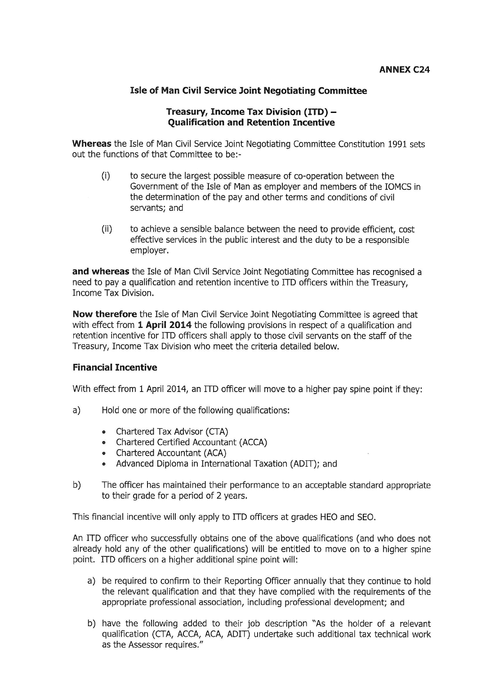## **Isle of Man Civil Service Joint Negotiating Committee**

## Treasury, Income Tax Division (ITD) -**Qualification and Retention Incentive**

Whereas the Isle of Man Civil Service Joint Negotiating Committee Constitution 1991 sets out the functions of that Committee to be:-

- $(i)$ to secure the largest possible measure of co-operation between the Government of the Isle of Man as employer and members of the IOMCS in the determination of the pay and other terms and conditions of civil servants: and
- $(ii)$ to achieve a sensible balance between the need to provide efficient, cost effective services in the public interest and the duty to be a responsible employer.

and whereas the Isle of Man Civil Service Joint Negotiating Committee has recognised a need to pay a qualification and retention incentive to ITD officers within the Treasury, Income Tax Division.

Now therefore the Isle of Man Civil Service Joint Negotiating Committee is agreed that with effect from 1 April 2014 the following provisions in respect of a qualification and retention incentive for ITD officers shall apply to those civil servants on the staff of the Treasury, Income Tax Division who meet the criteria detailed below.

## **Financial Incentive**

With effect from 1 April 2014, an ITD officer will move to a higher pay spine point if they:

- $a)$ Hold one or more of the following qualifications:
	- Chartered Tax Advisor (CTA)  $\bullet$
	- $\bullet$ Chartered Certified Accountant (ACCA)
	- Chartered Accountant (ACA)
	- Advanced Diploma in International Taxation (ADIT); and
- $b)$ The officer has maintained their performance to an acceptable standard appropriate to their grade for a period of 2 years.

This financial incentive will only apply to ITD officers at grades HEO and SEO.

An ITD officer who successfully obtains one of the above qualifications (and who does not already hold any of the other qualifications) will be entitled to move on to a higher spine point. ITD officers on a higher additional spine point will:

- a) be required to confirm to their Reporting Officer annually that they continue to hold the relevant qualification and that they have complied with the requirements of the appropriate professional association, including professional development; and
- b) have the following added to their job description "As the holder of a relevant qualification (CTA, ACCA, ACA, ADIT) undertake such additional tax technical work as the Assessor requires."